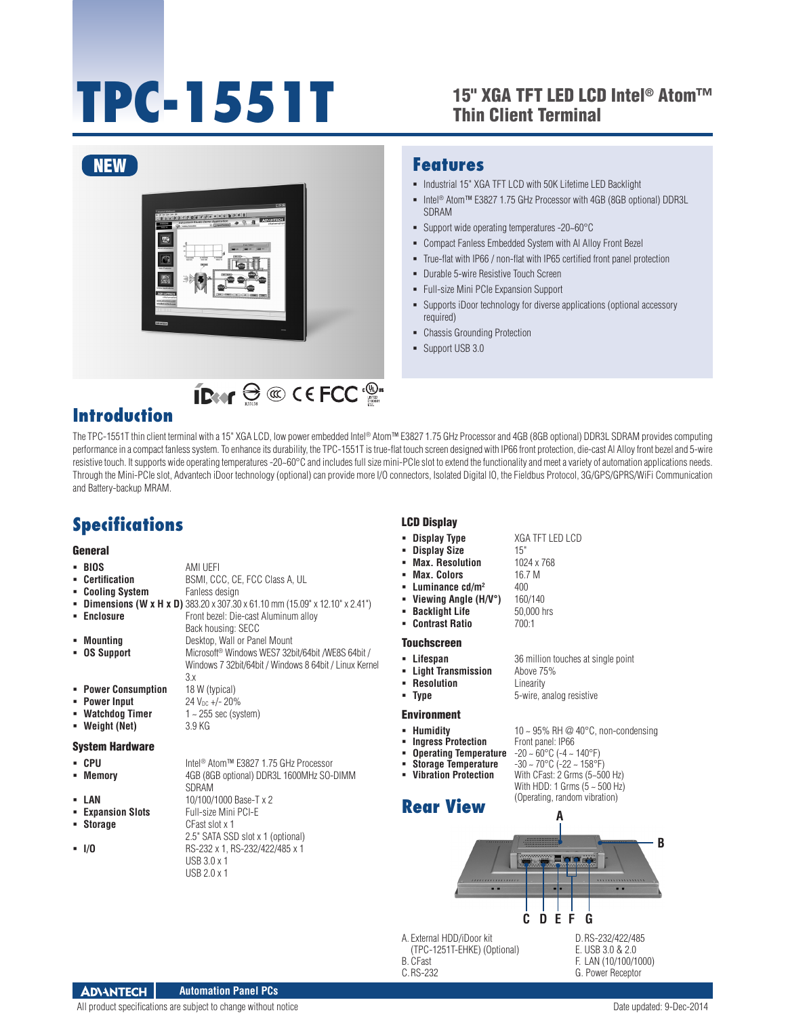# **TPC-1551T**

### 15" XGA TFT LED LCD Intel® Atom™ Thin Client Terminal



IDeer  $\ominus \text{ } \textcircled{c}$  CEFCC  $\textcircled{e}$ 

### **Features**

- $\blacksquare$  Industrial 15" XGA TFT LCD with 50K Lifetime LED Backlight
- Intel® Atom™ E3827 1.75 GHz Processor with 4GB (8GB optional) DDR3L SDRAM
- Support wide operating temperatures -20~60°C
- Compact Fanless Embedded System with Al Alloy Front Bezel
- True-flat with IP66 / non-flat with IP65 certified front panel protection
- **-** Durable 5-wire Resistive Touch Screen
- Full-size Mini PCIe Expansion Support
- Supports iDoor technology for diverse applications (optional accessory required)
- Chassis Grounding Protection
- Support USB 3.0

# **Introduction**

The TPC-1551T thin client terminal with a 15" XGA LCD, low power embedded Intel® Atom™ E3827 1.75 GHz Processor and 4GB (8GB optional) DDR3L SDRAM provides computing performance in a compact fanless system. To enhance its durability, the TPC-1551T is true-flat touch screen designed with IP66 front protection, die-cast Al Alloy front bezel and 5-wire resistive touch. It supports wide operating temperatures -20-60°C and includes full size mini-PCIe slot to extend the functionality and meet a variety of automation applications needs. Through the Mini-PCIe slot, Advantech iDoor technology (optional) can provide more I/O connectors, Isolated Digital IO, the Fieldbus Protocol, 3G/GPS/GPRS/WiFi Communication and Battery-backup MRAM.

# **Specifications**

### General

- **BIOS** AMI UEFI<br>**Certification** BSMI, CC **BSMI, CCC, CE, FCC Class A, UL Fanless design**
- 
- **E** Cooling System
- **Dimensions (W x H x D)** 383.20 x 307.30 x 61.10 mm (15.09" x 12.10" x 2.41")
- **Enclosure Enclosure Front bezel: Die-cast Aluminum alloy**
- Back housing: SECC **Mounting** Desktop, Wall or Panel Mount
- **OS Support** Microsoft<sup>®</sup> Windows WES7 32bit/64bit /WE8S 64bit /

SDRAM

CFast slot x 1

USB 3.0 x 1 USB 2.0 x 1

2.5" SATA SSD slot x 1 (optional)

- Windows 7 32bit/64bit / Windows 8 64bit / Linux Kernel 3.x
- **Power Consumption** 18 W (typical)
- **Power Input** 24 V<sub>DC</sub> +/- 20%<br>**Watchdog Timer** 1 ~ 255 sec (system)
- **Watchdog Timer** 1 ~ 255<br>**Weight (Net)** 3.9 KG
- **Weight (Net)**

### System Hardware

- CPU Intel<sup>®</sup> Atom™ E3827 1.75 GHz Processor
- **Memory** 4GB (8GB optional) DDR3L 1600MHz SO-DIMM
- 
- **LAN 10/100/1000 Base-T x 2**<br>**Expansion Slots Full-size Mini PCI-E Expansion Slots**<br>**Expansion Slots**
- 
- **I/O** RS-232 x 1, RS-232/422/485 x 1
- LCD Display
- **Display Type** XGA TFT LED LCD
- **Display Size** 15"
- **Max. Resolution** 1024 x 768<br>**Max. Colors** 16.7 M
- **Max. Colors**
- **Luminance cd/m<sup>2</sup> 400**
- **Viewing Angle (H/V°)** 160/140<br>**Backlight Life** 50.000 hrs
- **Backlight Life**
- **Contrast Ratio** 700:1

### Touchscreen

- 
- 
- **Resolution** Linearity
	-

- 
- **Humidity 10 ~ 95% RH @ 40°C, non-condensing**<br>■ **Ingress Protection** Front panel: IP66
- 
- **Storage Temperature** -30 ~ 70°C (-22 ~ 158°F)
- 
- **Rear View**

**Vibration Protection** With CFast: 2 Grms (5~500 Hz)

(Operating, random vibration)



- A. External HDD/iDoor kit (TPC-1251T-EHKE) (Optional)
- B. CFast

C.RS-232

- E. USB 3.0 & 2.0 F. LAN (10/100/1000)
	-
	- G. Power Receptor

### **ADVANTECH Automation Panel PCs**

All product specifications are subject to change without notice  $D = 2014$ 

**Lifespan** 36 million touches at single point

- **Light Transmission** Above 75%
- **Type** 5-wire, analog resistive

### Environment

- 
- -
- 

With HDD: 1 Grms  $(5 - 500$  Hz)

### **Ingress Protection** Front panel: IP66<br>**• Operating Temperature** -20 ~ 60°C (-4 ~ 140°F)<br>• Storage Temperature -30 ~ 70°C (-22 ~ 158°F) **Operating Temperature** -20 ~ 60°C (-4 ~ 140°F)

- -